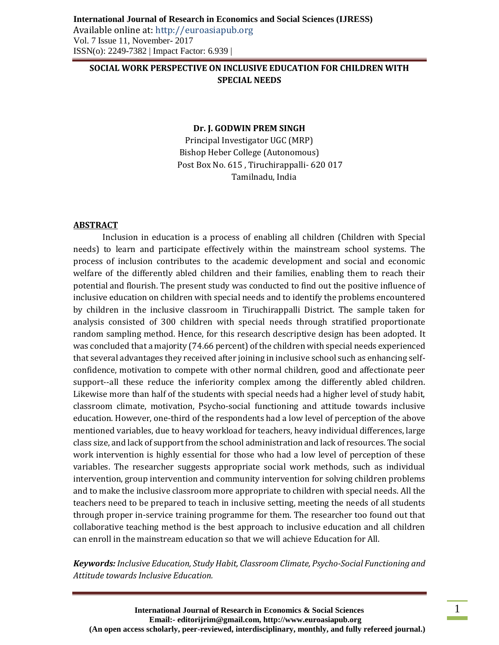# **SOCIAL WORK PERSPECTIVE ON INCLUSIVE EDUCATION FOR CHILDREN WITH SPECIAL NEEDS**

#### **Dr. J. GODWIN PREM SINGH**

Principal Investigator UGC (MRP) Bishop Heber College (Autonomous) Post Box No. 615 , Tiruchirappalli- 620 017 Tamilnadu, India

#### **ABSTRACT**

Inclusion in education is a process of enabling all children (Children with Special needs) to learn and participate effectively within the mainstream school systems. The process of inclusion contributes to the academic development and social and economic welfare of the differently abled children and their families, enabling them to reach their potential and flourish. The present study was conducted to find out the positive influence of inclusive education on children with special needs and to identify the problems encountered by children in the inclusive classroom in Tiruchirappalli District. The sample taken for analysis consisted of 300 children with special needs through stratified proportionate random sampling method. Hence, for this research descriptive design has been adopted. It was concluded that a majority (74.66 percent) of the children with special needs experienced that several advantages they received after joining in inclusive school such as enhancing selfconfidence, motivation to compete with other normal children, good and affectionate peer support--all these reduce the inferiority complex among the differently abled children. Likewise more than half of the students with special needs had a higher level of study habit, classroom climate, motivation, Psycho-social functioning and attitude towards inclusive education. However, one-third of the respondents had a low level of perception of the above mentioned variables, due to heavy workload for teachers, heavy individual differences, large class size, and lack of support from the school administration and lack of resources. The social work intervention is highly essential for those who had a low level of perception of these variables. The researcher suggests appropriate social work methods, such as individual intervention, group intervention and community intervention for solving children problems and to make the inclusive classroom more appropriate to children with special needs. All the teachers need to be prepared to teach in inclusive setting, meeting the needs of all students through proper in-service training programme for them. The researcher too found out that collaborative teaching method is the best approach to inclusive education and all children can enroll in the mainstream education so that we will achieve Education for All.

*Keywords: Inclusive Education, Study Habit, Classroom Climate, Psycho-Social Functioning and Attitude towards Inclusive Education.*

1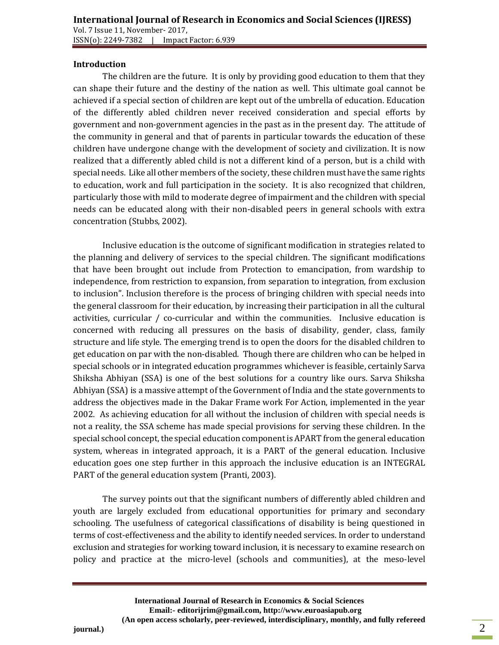## **Introduction**

The children are the future. It is only by providing good education to them that they can shape their future and the destiny of the nation as well. This ultimate goal cannot be achieved if a special section of children are kept out of the umbrella of education. Education of the differently abled children never received consideration and special efforts by government and non-government agencies in the past as in the present day. The attitude of the community in general and that of parents in particular towards the education of these children have undergone change with the development of society and civilization. It is now realized that a differently abled child is not a different kind of a person, but is a child with special needs. Like all other members of the society, these children must have the same rights to education, work and full participation in the society. It is also recognized that children, particularly those with mild to moderate degree of impairment and the children with special needs can be educated along with their non-disabled peers in general schools with extra concentration (Stubbs, 2002).

Inclusive education is the outcome of significant modification in strategies related to the planning and delivery of services to the special children. The significant modifications that have been brought out include from Protection to emancipation, from wardship to independence, from restriction to expansion, from separation to integration, from exclusion to inclusion". Inclusion therefore is the process of bringing children with special needs into the general classroom for their education, by increasing their participation in all the cultural activities, curricular  $/$  co-curricular and within the communities. Inclusive education is concerned with reducing all pressures on the basis of disability, gender, class, family structure and life style. The emerging trend is to open the doors for the disabled children to get education on par with the non-disabled. Though there are children who can be helped in special schools or in integrated education programmes whichever is feasible, certainly Sarva Shiksha Abhiyan (SSA) is one of the best solutions for a country like ours. Sarva Shiksha Abhiyan (SSA) is a massive attempt of the Government of India and the state governments to address the objectives made in the Dakar Frame work For Action, implemented in the year 2002. As achieving education for all without the inclusion of children with special needs is not a reality, the SSA scheme has made special provisions for serving these children. In the special school concept, the special education component is APART from the general education system, whereas in integrated approach, it is a PART of the general education. Inclusive education goes one step further in this approach the inclusive education is an INTEGRAL PART of the general education system (Pranti, 2003).

The survey points out that the significant numbers of differently abled children and youth are largely excluded from educational opportunities for primary and secondary schooling. The usefulness of categorical classifications of disability is being questioned in terms of cost-effectiveness and the ability to identify needed services. In order to understand exclusion and strategies for working toward inclusion, it is necessary to examine research on policy and practice at the micro-level (schools and communities), at the meso-level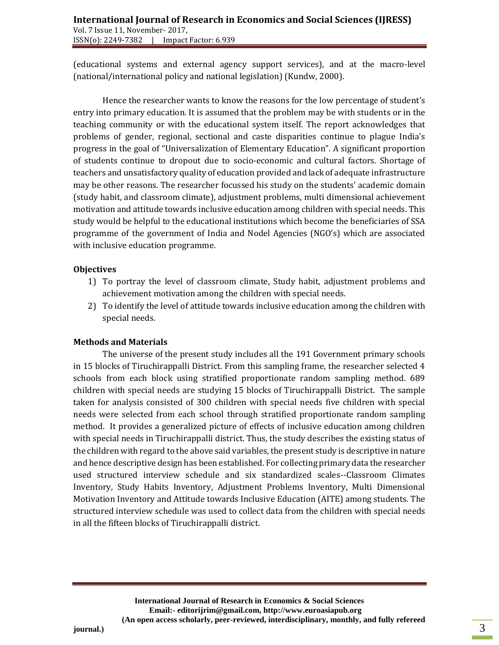(educational systems and external agency support services), and at the macro-level (national/international policy and national legislation) (Kundw, 2000).

Hence the researcher wants to know the reasons for the low percentage of student's entry into primary education. It is assumed that the problem may be with students or in the teaching community or with the educational system itself. The report acknowledges that problems of gender, regional, sectional and caste disparities continue to plague India's progress in the goal of "Universalization of Elementary Education". A significant proportion of students continue to dropout due to socio-economic and cultural factors. Shortage of teachers and unsatisfactory quality of education provided and lack of adequate infrastructure may be other reasons. The researcher focussed his study on the students' academic domain (study habit, and classroom climate), adjustment problems, multi dimensional achievement motivation and attitude towards inclusive education among children with special needs. This study would be helpful to the educational institutions which become the beneficiaries of SSA programme of the government of India and Nodel Agencies (NGO's) which are associated with inclusive education programme.

## **Objectives**

- 1) To portray the level of classroom climate, Study habit, adjustment problems and achievement motivation among the children with special needs.
- 2) To identify the level of attitude towards inclusive education among the children with special needs.

# **Methods and Materials**

The universe of the present study includes all the 191 Government primary schools in 15 blocks of Tiruchirappalli District. From this sampling frame, the researcher selected 4 schools from each block using stratified proportionate random sampling method. 689 children with special needs are studying 15 blocks of Tiruchirappalli District. The sample taken for analysis consisted of 300 children with special needs five children with special needs were selected from each school through stratified proportionate random sampling method. It provides a generalized picture of effects of inclusive education among children with special needs in Tiruchirappalli district. Thus, the study describes the existing status of the children with regard to the above said variables, the present study is descriptive in nature and hence descriptive design has been established. For collecting primary data the researcher used structured interview schedule and six standardized scales--Classroom Climates Inventory, Study Habits Inventory, Adjustment Problems Inventory, Multi Dimensional Motivation Inventory and Attitude towards Inclusive Education (AITE) among students. The structured interview schedule was used to collect data from the children with special needs in all the fifteen blocks of Tiruchirappalli district.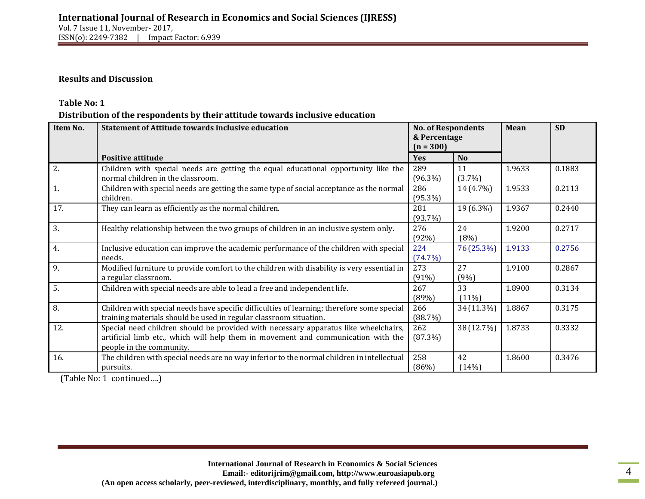### **Results and Discussion**

## **Table No: 1**

**Distribution of the respondents by their attitude towards inclusive education** 

| Item No. | <b>Statement of Attitude towards inclusive education</b>                                                                                                                                             | <b>No. of Respondents</b><br>& Percentage<br>$(n = 300)$ |                 | Mean   | <b>SD</b> |  |
|----------|------------------------------------------------------------------------------------------------------------------------------------------------------------------------------------------------------|----------------------------------------------------------|-----------------|--------|-----------|--|
|          | <b>Positive attitude</b>                                                                                                                                                                             | <b>Yes</b>                                               | <b>No</b>       |        |           |  |
| 2.       | Children with special needs are getting the equal educational opportunity like the<br>normal children in the classroom.                                                                              | 289<br>$(96.3\%)$                                        | 11<br>$(3.7\%)$ | 1.9633 | 0.1883    |  |
| 1.       | Children with special needs are getting the same type of social acceptance as the normal<br>children.                                                                                                | 286<br>$(95.3\%)$                                        | 14 (4.7%)       | 1.9533 | 0.2113    |  |
| 17.      | They can learn as efficiently as the normal children.                                                                                                                                                | 281<br>$(93.7\%)$                                        | 19 (6.3%)       | 1.9367 | 0.2440    |  |
| 3.       | Healthy relationship between the two groups of children in an inclusive system only.                                                                                                                 | 276<br>(92%)                                             | 24<br>(8%)      | 1.9200 | 0.2717    |  |
| 4.       | Inclusive education can improve the academic performance of the children with special<br>needs.                                                                                                      | 224<br>(74.7%)                                           | 76 (25.3%)      | 1.9133 | 0.2756    |  |
| 9.       | Modified furniture to provide comfort to the children with disability is very essential in<br>a regular classroom.                                                                                   | 273<br>(91%)                                             | 27<br>(9%)      | 1.9100 | 0.2867    |  |
| 5.       | Children with special needs are able to lead a free and independent life.                                                                                                                            | 267<br>(89%)                                             | 33<br>$(11\%)$  | 1.8900 | 0.3134    |  |
| 8.       | Children with special needs have specific difficulties of learning; therefore some special<br>training materials should be used in regular classroom situation.                                      | 266<br>(88.7%)                                           | 34 (11.3%)      | 1.8867 | 0.3175    |  |
| 12.      | Special need children should be provided with necessary apparatus like wheelchairs,<br>artificial limb etc., which will help them in movement and communication with the<br>people in the community. | 262<br>(87.3%)                                           | 38 (12.7%)      | 1.8733 | 0.3332    |  |
| 16.      | The children with special needs are no way inferior to the normal children in intellectual<br>pursuits.                                                                                              | 258<br>(86%)                                             | 42<br>(14%)     | 1.8600 | 0.3476    |  |

(Table No: 1 continued….)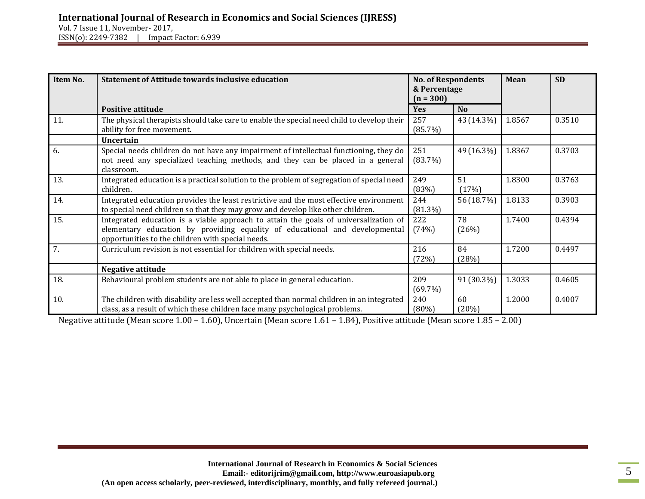Vol. 7 Issue 11, November- 2017, ISSN(o): 2249-7382 | Impact Factor: 6.939

| Item No. | <b>Statement of Attitude towards inclusive education</b>                                                                                                                                                                 | <b>No. of Respondents</b><br>& Percentage<br>$(n = 300)$ |                | Mean   | <b>SD</b> |
|----------|--------------------------------------------------------------------------------------------------------------------------------------------------------------------------------------------------------------------------|----------------------------------------------------------|----------------|--------|-----------|
|          | Positive attitude                                                                                                                                                                                                        | <b>Yes</b>                                               | N <sub>0</sub> |        |           |
| 11.      | The physical therapists should take care to enable the special need child to develop their<br>ability for free movement.                                                                                                 | 257<br>(85.7%)                                           | 43 (14.3%)     | 1.8567 | 0.3510    |
|          | <b>Uncertain</b>                                                                                                                                                                                                         |                                                          |                |        |           |
| 6.       | Special needs children do not have any impairment of intellectual functioning, they do<br>not need any specialized teaching methods, and they can be placed in a general<br>classroom.                                   | 251<br>(83.7%)                                           | 49 (16.3%)     | 1.8367 | 0.3703    |
| 13.      | Integrated education is a practical solution to the problem of segregation of special need<br>children.                                                                                                                  | 249<br>(83%)                                             | 51<br>(17%)    | 1.8300 | 0.3763    |
| 14.      | Integrated education provides the least restrictive and the most effective environment<br>to special need children so that they may grow and develop like other children.                                                | 244<br>$(81.3\%)$                                        | 56 (18.7%)     | 1.8133 | 0.3903    |
| 15.      | Integrated education is a viable approach to attain the goals of universalization of<br>elementary education by providing equality of educational and developmental<br>opportunities to the children with special needs. | 222<br>(74%)                                             | 78<br>(26%)    | 1.7400 | 0.4394    |
| 7.       | Curriculum revision is not essential for children with special needs.                                                                                                                                                    | 216<br>(72%)                                             | 84<br>(28%)    | 1.7200 | 0.4497    |
|          | Negative attitude                                                                                                                                                                                                        |                                                          |                |        |           |
| 18.      | Behavioural problem students are not able to place in general education.                                                                                                                                                 | 209<br>(69.7%)                                           | 91 (30.3%)     | 1.3033 | 0.4605    |
| 10.      | The children with disability are less well accepted than normal children in an integrated<br>class, as a result of which these children face many psychological problems.                                                | 240<br>$(80\%)$                                          | 60<br>(20%)    | 1.2000 | 0.4007    |

Negative attitude (Mean score 1.00 – 1.60), Uncertain (Mean score 1.61 – 1.84), Positive attitude (Mean score 1.85 – 2.00)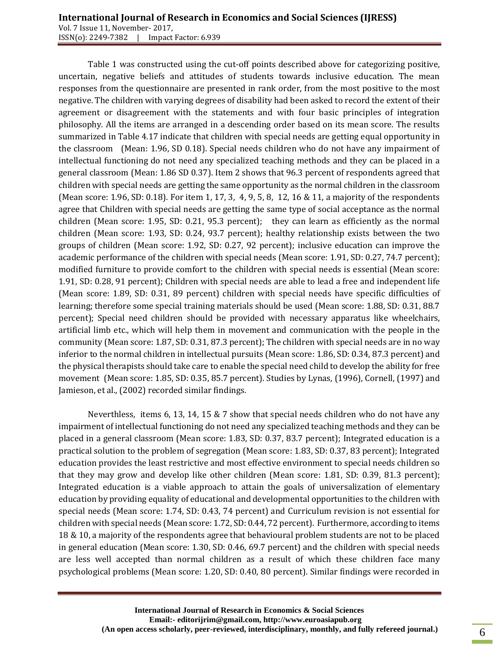Table 1 was constructed using the cut-off points described above for categorizing positive, uncertain, negative beliefs and attitudes of students towards inclusive education. The mean responses from the questionnaire are presented in rank order, from the most positive to the most negative. The children with varying degrees of disability had been asked to record the extent of their agreement or disagreement with the statements and with four basic principles of integration philosophy. All the items are arranged in a descending order based on its mean score. The results summarized in Table 4.17 indicate that children with special needs are getting equal opportunity in the classroom (Mean: 1.96, SD 0.18). Special needs children who do not have any impairment of intellectual functioning do not need any specialized teaching methods and they can be placed in a general classroom (Mean: 1.86 SD 0.37). Item 2 shows that 96.3 percent of respondents agreed that children with special needs are getting the same opportunity as the normal children in the classroom (Mean score: 1.96, SD: 0.18). For item 1, 17, 3, 4, 9, 5, 8, 12, 16 & 11, a majority of the respondents agree that Children with special needs are getting the same type of social acceptance as the normal children (Mean score: 1.95, SD: 0.21, 95.3 percent); they can learn as efficiently as the normal children (Mean score: 1.93, SD: 0.24, 93.7 percent); healthy relationship exists between the two groups of children (Mean score: 1.92, SD: 0.27, 92 percent); inclusive education can improve the academic performance of the children with special needs (Mean score: 1.91, SD: 0.27, 74.7 percent); modified furniture to provide comfort to the children with special needs is essential (Mean score: 1.91, SD: 0.28, 91 percent); Children with special needs are able to lead a free and independent life (Mean score: 1.89, SD: 0.31, 89 percent) children with special needs have specific difficulties of learning; therefore some special training materials should be used (Mean score: 1.88, SD: 0.31, 88.7 percent); Special need children should be provided with necessary apparatus like wheelchairs, artificial limb etc., which will help them in movement and communication with the people in the community (Mean score: 1.87, SD: 0.31, 87.3 percent); The children with special needs are in no way inferior to the normal children in intellectual pursuits (Mean score: 1.86, SD: 0.34, 87.3 percent) and the physical therapists should take care to enable the special need child to develop the ability for free movement (Mean score: 1.85, SD: 0.35, 85.7 percent). Studies by Lynas, (1996), Cornell, (1997) and Jamieson, et al., (2002) recorded similar findings.

Neverthless, items 6, 13, 14, 15 & 7 show that special needs children who do not have any impairment of intellectual functioning do not need any specialized teaching methods and they can be placed in a general classroom (Mean score: 1.83, SD: 0.37, 83.7 percent); Integrated education is a practical solution to the problem of segregation (Mean score: 1.83, SD: 0.37, 83 percent); Integrated education provides the least restrictive and most effective environment to special needs children so that they may grow and develop like other children (Mean score: 1.81, SD: 0.39, 81.3 percent); Integrated education is a viable approach to attain the goals of universalization of elementary education by providing equality of educational and developmental opportunities to the children with special needs (Mean score: 1.74, SD: 0.43, 74 percent) and Curriculum revision is not essential for children with special needs (Mean score: 1.72, SD: 0.44, 72 percent). Furthermore, according to items 18 & 10, a majority of the respondents agree that behavioural problem students are not to be placed in general education (Mean score: 1.30, SD: 0.46, 69.7 percent) and the children with special needs are less well accepted than normal children as a result of which these children face many psychological problems (Mean score: 1.20, SD: 0.40, 80 percent). Similar findings were recorded in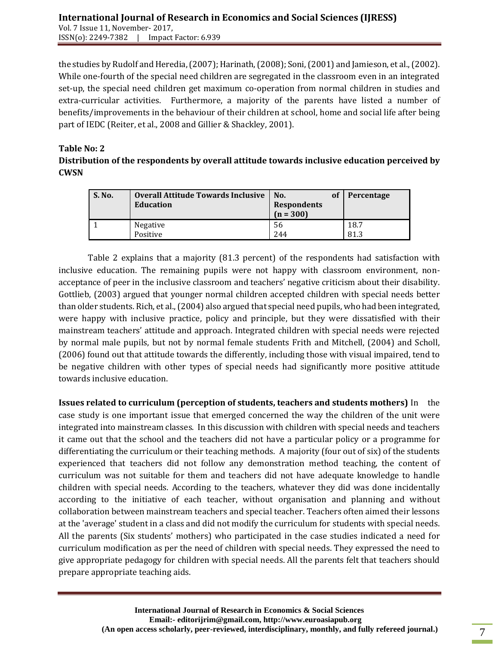the studies by Rudolf and Heredia, (2007); Harinath, (2008); Soni, (2001) and Jamieson, et al., (2002). While one-fourth of the special need children are segregated in the classroom even in an integrated set-up, the special need children get maximum co-operation from normal children in studies and extra-curricular activities. Furthermore, a majority of the parents have listed a number of benefits/improvements in the behaviour of their children at school, home and social life after being part of IEDC (Reiter, et al., 2008 and Gillier & Shackley, 2001).

## **Table No: 2**

# **Distribution of the respondents by overall attitude towards inclusive education perceived by CWSN**

| <b>S. No.</b> | <b>Overall Attitude Towards Inclusive</b><br>Education | оf<br>No.<br><b>Respondents</b><br>$(n = 300)$ | Percentage |
|---------------|--------------------------------------------------------|------------------------------------------------|------------|
|               | Negative                                               | 56                                             | 18.7       |
|               | Positive                                               | 244                                            | 81.3       |

Table 2 explains that a majority (81.3 percent) of the respondents had satisfaction with inclusive education. The remaining pupils were not happy with classroom environment, nonacceptance of peer in the inclusive classroom and teachers' negative criticism about their disability. Gottlieb, (2003) argued that younger normal children accepted children with special needs better than older students. Rich, et al., (2004) also argued that special need pupils, who had been integrated, were happy with inclusive practice, policy and principle, but they were dissatisfied with their mainstream teachers' attitude and approach. Integrated children with special needs were rejected by normal male pupils, but not by normal female students Frith and Mitchell, (2004) and Scholl, (2006) found out that attitude towards the differently, including those with visual impaired, tend to be negative children with other types of special needs had significantly more positive attitude towards inclusive education.

**Issues related to curriculum (perception of students, teachers and students mothers)** In the case study is one important issue that emerged concerned the way the children of the unit were integrated into mainstream classes. In this discussion with children with special needs and teachers it came out that the school and the teachers did not have a particular policy or a programme for differentiating the curriculum or their teaching methods. A majority (four out of six) of the students experienced that teachers did not follow any demonstration method teaching, the content of curriculum was not suitable for them and teachers did not have adequate knowledge to handle children with special needs. According to the teachers, whatever they did was done incidentally according to the initiative of each teacher, without organisation and planning and without collaboration between mainstream teachers and special teacher. Teachers often aimed their lessons at the 'average' student in a class and did not modify the curriculum for students with special needs. All the parents (Six students' mothers) who participated in the case studies indicated a need for curriculum modification as per the need of children with special needs. They expressed the need to give appropriate pedagogy for children with special needs. All the parents felt that teachers should prepare appropriate teaching aids.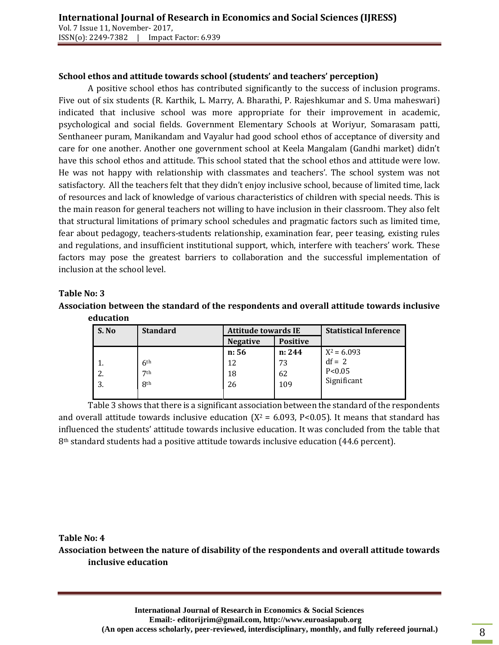## **School ethos and attitude towards school (students' and teachers' perception)**

A positive school ethos has contributed significantly to the success of inclusion programs. Five out of six students (R. Karthik, L. Marry, A. Bharathi, P. Rajeshkumar and S. Uma maheswari) indicated that inclusive school was more appropriate for their improvement in academic, psychological and social fields. Government Elementary Schools at Woriyur, Somarasam patti, Senthaneer puram, Manikandam and Vayalur had good school ethos of acceptance of diversity and care for one another. Another one government school at Keela Mangalam (Gandhi market) didn't have this school ethos and attitude. This school stated that the school ethos and attitude were low. He was not happy with relationship with classmates and teachers'. The school system was not satisfactory. All the teachers felt that they didn't enjoy inclusive school, because of limited time, lack of resources and lack of knowledge of various characteristics of children with special needs. This is the main reason for general teachers not willing to have inclusion in their classroom. They also felt that structural limitations of primary school schedules and pragmatic factors such as limited time, fear about pedagogy, teachers-students relationship, examination fear, peer teasing, existing rules and regulations, and insufficient institutional support, which, interfere with teachers' work. These factors may pose the greatest barriers to collaboration and the successful implementation of inclusion at the school level.

#### **Table No: 3**

### **Association between the standard of the respondents and overall attitude towards inclusive education**

| S. No | <b>Standard</b> | <b>Attitude towards IE</b> |                 | <b>Statistical Inference</b> |
|-------|-----------------|----------------------------|-----------------|------------------------------|
|       |                 | <b>Negative</b>            | <b>Positive</b> |                              |
|       |                 | n: 56                      | n: 244          | $X^2 = 6.093$                |
|       | 6 <sup>th</sup> | 12                         | 73              | $df = 2$                     |
| 2.    | 7 <sup>th</sup> | 18                         | 62              | P < 0.05                     |
| 3.    | <b>8th</b>      | 26                         | 109             | Significant                  |
|       |                 |                            |                 |                              |

Table 3 shows that there is a significant association between the standard of the respondents and overall attitude towards inclusive education  $(X^2 = 6.093, P<0.05)$ . It means that standard has influenced the students' attitude towards inclusive education. It was concluded from the table that 8<sup>th</sup> standard students had a positive attitude towards inclusive education (44.6 percent).

#### **Table No: 4**

**Association between the nature of disability of the respondents and overall attitude towards inclusive education**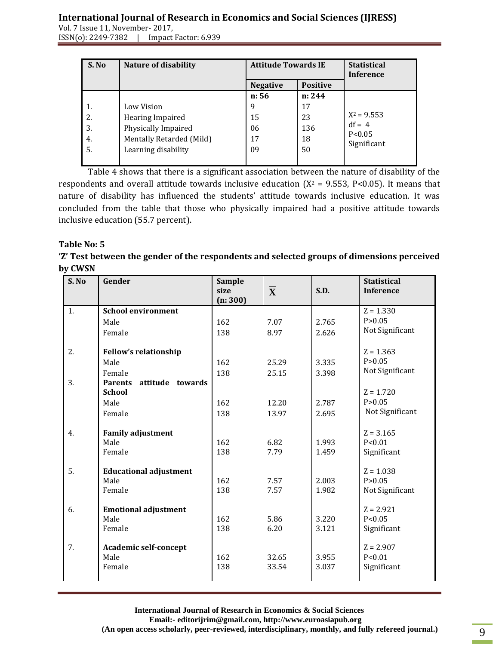Vol. 7 Issue 11, November- 2017, ISSN(o): 2249-7382 | Impact Factor: 6.939

| S. No | <b>Nature of disability</b> | <b>Attitude Towards IE</b> |                 | <b>Statistical</b><br><b>Inference</b> |
|-------|-----------------------------|----------------------------|-----------------|----------------------------------------|
|       |                             | <b>Negative</b>            | <b>Positive</b> |                                        |
|       |                             | n: 56                      | n: 244          |                                        |
|       | Low Vision                  | 9                          | 17              |                                        |
| 2.    | Hearing Impaired            | 15                         | 23              | $X^2 = 9.553$                          |
| 3.    | Physically Impaired         | 06                         | 136             | $df = 4$                               |
| 4.    | Mentally Retarded (Mild)    | 17                         | 18              | P < 0.05<br>Significant                |
| 5.    | Learning disability         | 09                         | 50              |                                        |
|       |                             |                            |                 |                                        |

Table 4 shows that there is a significant association between the nature of disability of the respondents and overall attitude towards inclusive education ( $X^2$  = 9.553, P<0.05). It means that nature of disability has influenced the students' attitude towards inclusive education. It was concluded from the table that those who physically impaired had a positive attitude towards inclusive education (55.7 percent).

## **Table No: 5**

**'Z' Test between the gender of the respondents and selected groups of dimensions perceived by CWSN** 

| S. No | Gender                                                 | Sample<br>size<br>(n: 300) | $\overline{\mathbf{X}}$ | S.D.  | <b>Statistical</b><br><b>Inference</b> |
|-------|--------------------------------------------------------|----------------------------|-------------------------|-------|----------------------------------------|
| 1.    | <b>School environment</b>                              |                            |                         |       | $Z = 1.330$                            |
|       | Male                                                   | 162                        | 7.07                    | 2.765 | P > 0.05                               |
|       | Female                                                 | 138                        | 8.97                    | 2.626 | Not Significant                        |
| 2.    | <b>Fellow's relationship</b>                           |                            |                         |       | $Z = 1.363$                            |
|       | Male                                                   | 162                        | 25.29                   | 3.335 | P > 0.05                               |
|       | Female                                                 | 138                        | 25.15                   | 3.398 | Not Significant                        |
| 3.    | attitude<br><b>Parents</b><br>towards<br><b>School</b> |                            |                         |       | $Z = 1.720$                            |
|       | Male                                                   | 162                        | 12.20                   | 2.787 | P > 0.05                               |
|       | Female                                                 | 138                        | 13.97                   | 2.695 | Not Significant                        |
|       |                                                        |                            |                         |       |                                        |
| 4.    | <b>Family adjustment</b>                               |                            |                         |       | $Z = 3.165$                            |
|       | Male                                                   | 162                        | 6.82                    | 1.993 | P < 0.01                               |
|       | Female                                                 | 138                        | 7.79                    | 1.459 | Significant                            |
| 5.    | <b>Educational adjustment</b>                          |                            |                         |       | $Z = 1.038$                            |
|       | Male                                                   | 162                        | 7.57                    | 2.003 | P > 0.05                               |
|       | Female                                                 | 138                        | 7.57                    | 1.982 | Not Significant                        |
| 6.    | <b>Emotional adjustment</b>                            |                            |                         |       | $Z = 2.921$                            |
|       | Male                                                   | 162                        | 5.86                    | 3.220 | P < 0.05                               |
|       | Female                                                 | 138                        | 6.20                    | 3.121 | Significant                            |
| 7.    | <b>Academic self-concept</b>                           |                            |                         |       | $Z = 2.907$                            |
|       | Male                                                   | 162                        | 32.65                   | 3.955 | P < 0.01                               |
|       | Female                                                 | 138                        | 33.54                   | 3.037 | Significant                            |
|       |                                                        |                            |                         |       |                                        |

**International Journal of Research in Economics & Social Sciences Email:- editorijrim@gmail.com, http://www.euroasiapub.org** (An open access scholarly, peer-reviewed, interdisciplinary, monthly, and fully refereed journal.)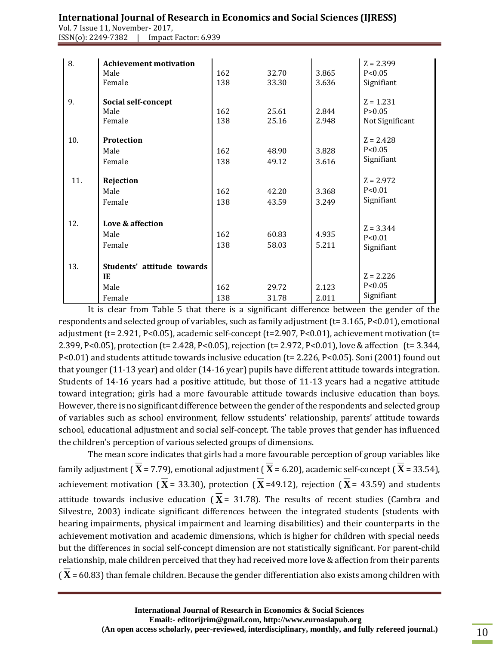Vol. 7 Issue 11, November- 2017, ISSN(o): 2249-7382 | Impact Factor: 6.939

| 8.  | <b>Achievement motivation</b><br>Male<br>Female    | 162<br>138 | 32.70<br>33.30 | 3.865<br>3.636 | $Z = 2.399$<br>P < 0.05<br>Signifiant      |
|-----|----------------------------------------------------|------------|----------------|----------------|--------------------------------------------|
| 9.  | Social self-concept<br>Male<br>Female              | 162<br>138 | 25.61<br>25.16 | 2.844<br>2.948 | $Z = 1.231$<br>P > 0.05<br>Not Significant |
| 10. | Protection<br>Male<br>Female                       | 162<br>138 | 48.90<br>49.12 | 3.828<br>3.616 | $Z = 2.428$<br>P < 0.05<br>Signifiant      |
| 11. | Rejection<br>Male<br>Female                        | 162<br>138 | 42.20<br>43.59 | 3.368<br>3.249 | $Z = 2.972$<br>P < 0.01<br>Signifiant      |
| 12. | Love & affection<br>Male<br>Female                 | 162<br>138 | 60.83<br>58.03 | 4.935<br>5.211 | $Z = 3.344$<br>P < 0.01<br>Signifiant      |
| 13. | Students' attitude towards<br>IE<br>Male<br>Female | 162<br>138 | 29.72<br>31.78 | 2.123<br>2.011 | $Z = 2.226$<br>P < 0.05<br>Signifiant      |

It is clear from Table 5 that there is a significant difference between the gender of the respondents and selected group of variables, such as family adjustment (t= 3.165, P<0.01), emotional adjustment (t= 2.921, P<0.05), academic self-concept (t=2.907, P<0.01), achievement motivation (t= 2.399, P<0.05), protection (t= 2.428, P<0.05), rejection (t= 2.972, P<0.01), love & affection (t= 3.344, P<0.01) and students attitude towards inclusive education (t= 2.226, P<0.05). Soni (2001) found out that younger (11-13 year) and older (14-16 year) pupils have different attitude towards integration. Students of 14-16 years had a positive attitude, but those of 11-13 years had a negative attitude toward integration; girls had a more favourable attitude towards inclusive education than boys. However, there is no significant difference between the gender of the respondents and selected group of variables such as school environment, fellow sstudents' relationship, parents' attitude towards school, educational adjustment and social self-concept. The table proves that gender has influenced the children's perception of various selected groups of dimensions.

The mean score indicates that girls had a more favourable perception of group variables like family adjustment ( $X$  = 7.79), emotional adjustment ( $X$  = 6.20), academic self-concept ( $X$  = 33.54), achievement motivation ( $X = 33.30$ ), protection ( $X = 49.12$ ), rejection ( $X = 43.59$ ) and students attitude towards inclusive education  $(X = 31.78)$ . The results of recent studies (Cambra and Silvestre, 2003) indicate significant differences between the integrated students (students with hearing impairments, physical impairment and learning disabilities) and their counterparts in the achievement motivation and academic dimensions, which is higher for children with special needs but the differences in social self-concept dimension are not statistically significant. For parent-child relationship, male children perceived that they had received more love & affection from their parents  $(X = 60.83)$  than female children. Because the gender differentiation also exists among children with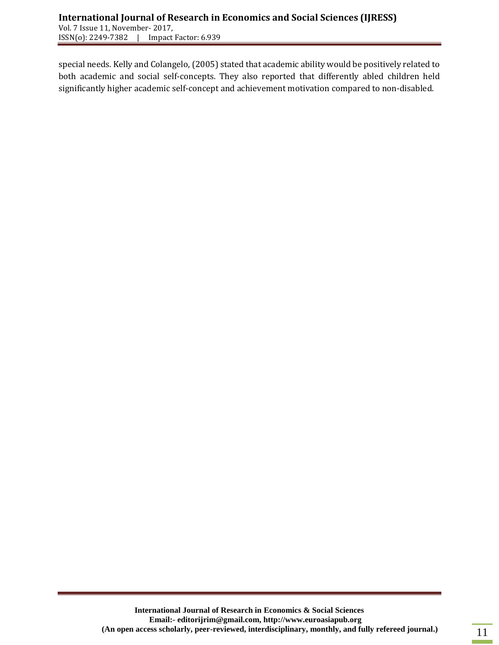special needs. Kelly and Colangelo, (2005) stated that academic ability would be positively related to both academic and social self-concepts. They also reported that differently abled children held significantly higher academic self-concept and achievement motivation compared to non-disabled.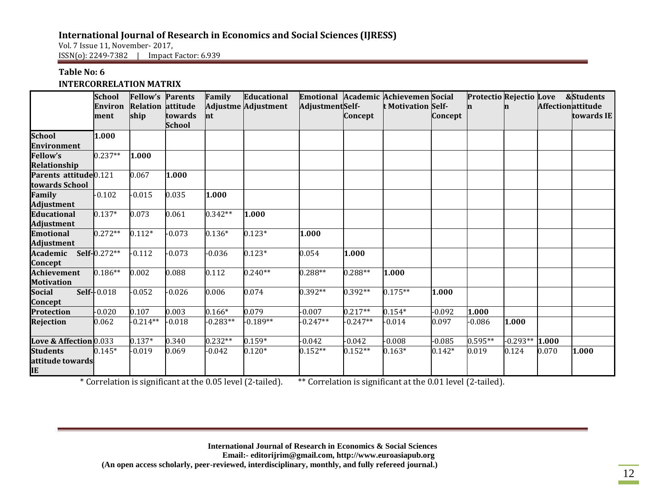Vol. 7 Issue 11, November- 2017, ISSN(o): 2249-7382 | Impact Factor: 6.939

## **Table No: 6 INTERCORRELATION MATRIX**

|                                                     | <b>School</b><br>Environ<br>ment | <b>Fellow's Parents</b><br><b>Relation attitude</b><br>ship | towards       | Family<br>$\ln t$ | <b>Educational</b><br><b>Adjustme Adjustment</b> | AdjustmentSelf- | Concept    | Emotional Academic Achievemen Social<br><b>t Motivation Self-</b> | Concept  | Protectio Rejectio Love & Students<br>n | n          | <b>Affectionattitude</b> | towards IE |
|-----------------------------------------------------|----------------------------------|-------------------------------------------------------------|---------------|-------------------|--------------------------------------------------|-----------------|------------|-------------------------------------------------------------------|----------|-----------------------------------------|------------|--------------------------|------------|
|                                                     |                                  |                                                             | <b>School</b> |                   |                                                  |                 |            |                                                                   |          |                                         |            |                          |            |
| <b>School</b><br><b>Environment</b>                 | 1.000                            |                                                             |               |                   |                                                  |                 |            |                                                                   |          |                                         |            |                          |            |
| <b>Fellow's</b><br>Relationship                     | $0.237**$                        | 1.000                                                       |               |                   |                                                  |                 |            |                                                                   |          |                                         |            |                          |            |
| Parents attitude <sup>0.121</sup><br>towards School |                                  | 0.067                                                       | 1.000         |                   |                                                  |                 |            |                                                                   |          |                                         |            |                          |            |
| <b>Family</b><br><b>Adjustment</b>                  | $-0.102$                         | $-0.015$                                                    | 0.035         | 1.000             |                                                  |                 |            |                                                                   |          |                                         |            |                          |            |
| <b>Educational</b><br><b>Adjustment</b>             | $0.137*$                         | 0.073                                                       | 0.061         | $0.342**$         | 1.000                                            |                 |            |                                                                   |          |                                         |            |                          |            |
| <b>Emotional</b><br>Adjustment                      | $0.272**$                        | $0.112*$                                                    | $-0.073$      | $0.136*$          | $0.123*$                                         | 1.000           |            |                                                                   |          |                                         |            |                          |            |
| Academic<br>Concept                                 | Self-0.272**                     | $-0.112$                                                    | $-0.073$      | $-0.036$          | $0.123*$                                         | 0.054           | 1.000      |                                                                   |          |                                         |            |                          |            |
| <b>Achievement</b><br><b>Motivation</b>             | $0.186**$                        | 0.002                                                       | 0.088         | 0.112             | $0.240**$                                        | $0.288**$       | 0.288**    | 1.000                                                             |          |                                         |            |                          |            |
| <b>Social</b><br>Concept                            | Self--0.018                      | $-0.052$                                                    | $-0.026$      | 0.006             | 0.074                                            | $0.392**$       | $0.392**$  | $0.175**$                                                         | 1.000    |                                         |            |                          |            |
| <b>Protection</b>                                   | $-0.020$                         | 0.107                                                       | 0.003         | $0.166*$          | 0.079                                            | $-0.007$        | $0.217**$  | $0.154*$                                                          | $-0.092$ | 1.000                                   |            |                          |            |
| <b>Rejection</b>                                    | 0.062                            | $-0.214**$                                                  | $-0.018$      | $-0.283**$        | $-0.189**$                                       | $-0.247**$      | $-0.247**$ | $-0.014$                                                          | 0.097    | $-0.086$                                | 1.000      |                          |            |
| Love & Affection 0.033                              |                                  | $0.137*$                                                    | 0.340         | $0.232**$         | $0.159*$                                         | $-0.042$        | $-0.042$   | $-0.008$                                                          | $-0.085$ | $0.595**$                               | $-0.293**$ | 1.000                    |            |
| <b>Students</b><br>attitude towards<br>IЕ           | $0.145*$                         | $-0.019$                                                    | 0.069         | $-0.042$          | $0.120*$                                         | $0.152**$       | $0.152**$  | $0.163*$                                                          | $0.142*$ | 0.019                                   | 0.124      | 0.070                    | 1.000      |

\* Correlation is significant at the 0.05 level (2-tailed). \*\* Correlation is significant at the 0.01 level (2-tailed).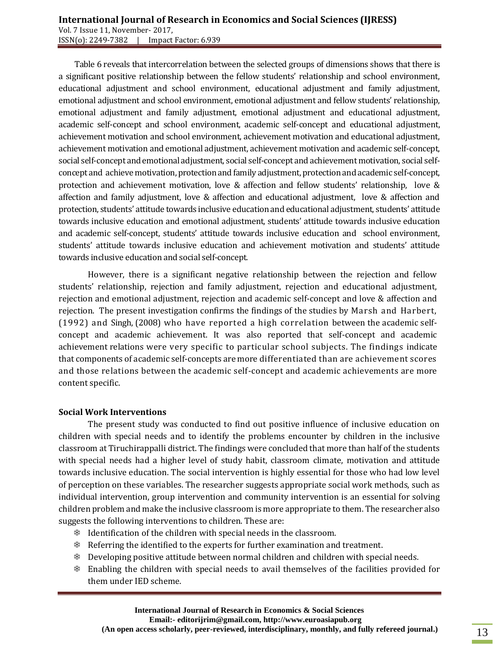Table 6 reveals that intercorrelation between the selected groups of dimensions shows that there is a significant positive relationship between the fellow students' relationship and school environment, educational adjustment and school environment, educational adjustment and family adjustment, emotional adjustment and school environment, emotional adjustment and fellow students' relationship, emotional adjustment and family adjustment, emotional adjustment and educational adjustment, academic self-concept and school environment, academic self-concept and educational adjustment, achievement motivation and school environment, achievement motivation and educational adjustment, achievement motivation and emotional adjustment, achievement motivation and academic self-concept, social self-concept and emotional adjustment, social self-concept and achievement motivation, social selfconcept and achieve motivation, protection and family adjustment, protection and academic self-concept, protection and achievement motivation, love & affection and fellow students' relationship, love & affection and family adjustment, love & affection and educational adjustment, love & affection and protection, students' attitude towards inclusive education and educational adjustment, students' attitude towards inclusive education and emotional adjustment, students' attitude towards inclusive education and academic self-concept, students' attitude towards inclusive education and school environment, students' attitude towards inclusive education and achievement motivation and students' attitude towards inclusive education and social self-concept.

However, there is a significant negative relationship between the rejection and fellow students' relationship, rejection and family adjustment, rejection and educational adjustment, rejection and emotional adjustment, rejection and academic self-concept and love & affection and rejection. The present investigation confirms the findings of the studies by Marsh and Harbert, (1992) and Singh, (2008) who have reported a high correlation between the academic selfconcept and academic achievement. It was also reported that self-concept and academic achievement relations were very specific to particular school subjects. The findings indicate that components of academic self-concepts are more differentiated than are achievement scores and those relations between the academic self-concept and academic achievements are more content specific.

#### **Social Work Interventions**

The present study was conducted to find out positive influence of inclusive education on children with special needs and to identify the problems encounter by children in the inclusive classroom at Tiruchirappalli district. The findings were concluded that more than half of the students with special needs had a higher level of study habit, classroom climate, motivation and attitude towards inclusive education. The social intervention is highly essential for those who had low level of perception on these variables. The researcher suggests appropriate social work methods, such as individual intervention, group intervention and community intervention is an essential for solving children problem and make the inclusive classroom is more appropriate to them. The researcher also suggests the following interventions to children. These are:

- Identification of the children with special needs in the classroom.
- Referring the identified to the experts for further examination and treatment.
- Developing positive attitude between normal children and children with special needs.
- Enabling the children with special needs to avail themselves of the facilities provided for them under IED scheme.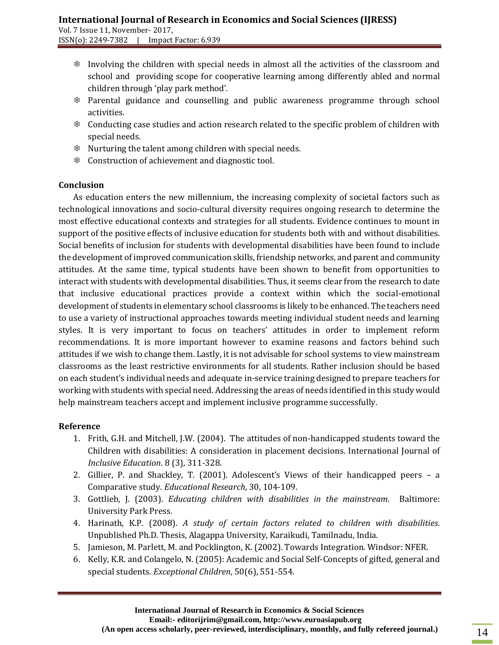- Involving the children with special needs in almost all the activities of the classroom and school and providing scope for cooperative learning among differently abled and normal children through 'play park method'.
- Parental guidance and counselling and public awareness programme through school activities.
- Conducting case studies and action research related to the specific problem of children with special needs.
- Nurturing the talent among children with special needs.
- Construction of achievement and diagnostic tool.

## **Conclusion**

As education enters the new millennium, the increasing complexity of societal factors such as technological innovations and socio-cultural diversity requires ongoing research to determine the most effective educational contexts and strategies for all students. Evidence continues to mount in support of the positive effects of inclusive education for students both with and without disabilities. Social benefits of inclusion for students with developmental disabilities have been found to include the development of improved communication skills, friendship networks, and parent and community attitudes. At the same time, typical students have been shown to benefit from opportunities to interact with students with developmental disabilities. Thus, it seems clear from the research to date that inclusive educational practices provide a context within which the social-emotional development of students in elementary school classrooms is likely to be enhanced. The teachers need to use a variety of instructional approaches towards meeting individual student needs and learning styles. It is very important to focus on teachers' attitudes in order to implement reform recommendations. It is more important however to examine reasons and factors behind such attitudes if we wish to change them. Lastly, it is not advisable for school systems to view mainstream classrooms as the least restrictive environments for all students. Rather inclusion should be based on each student's individual needs and adequate in-service training designed to prepare teachers for working with students with special need. Addressing the areas of needs identified in this study would help mainstream teachers accept and implement inclusive programme successfully.

## **Reference**

- 1. Frith, G.H. and Mitchell, J.W. (2004). The attitudes of non-handicapped students toward the Children with disabilities: A consideration in placement decisions. International Journal of *Inclusive Education*. 8 (3), 311-328.
- 2. Gillier, P. and Shackley, T. (2001). Adolescent's Views of their handicapped peers a Comparative study. *Educational Research*, 30, 104-109.
- 3. Gottlieb, J. (2003). *Educating children with disabilities in the mainstream*. Baltimore: University Park Press.
- 4. Harinath, K.P. (2008). *A study of certain factors related to children with disabilities*. Unpublished Ph.D. Thesis, Alagappa University, Karaikudi, Tamilnadu, India.
- 5. Jamieson, M. Parlett, M. and Pocklington, K. (2002). Towards Integration. Windsor: NFER.
- 6. Kelly, K.R. and Colangelo, N. (2005): Academic and Social Self-Concepts of gifted, general and special students. *Exceptional Children*, 50(6), 551-554.